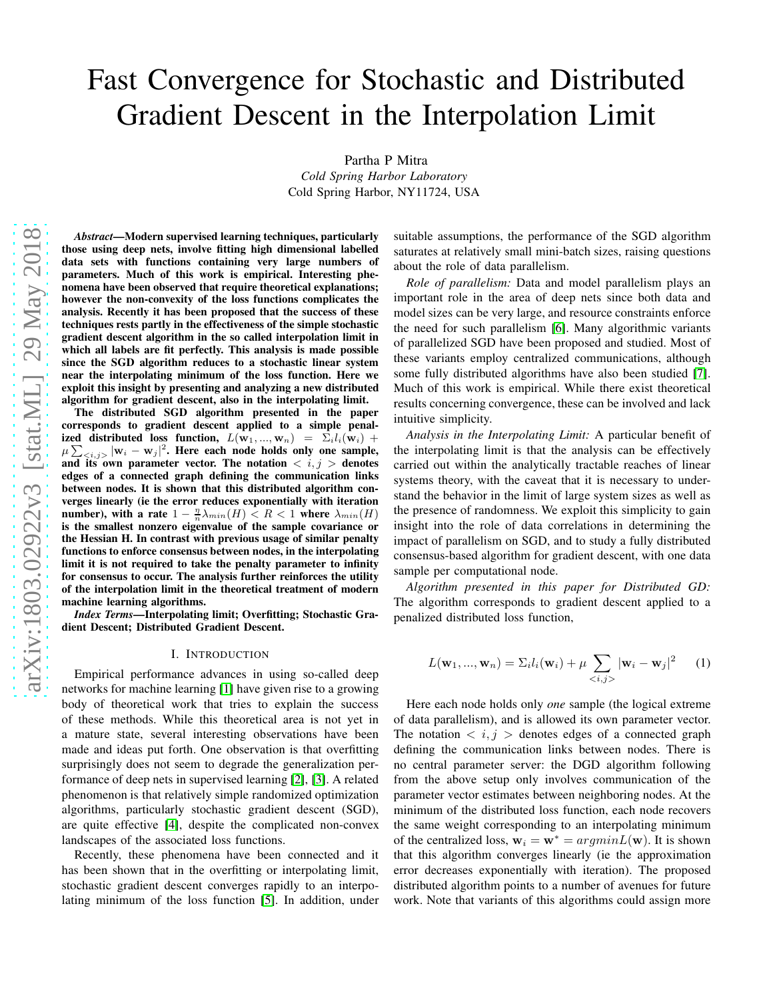# Fast Convergence for Stochastic and Distributed Gradient Descent in the Interpolation Limit

Partha P Mitra

*Cold Spring Harbor Laboratory* Cold Spring Harbor, NY11724, USA

*Abstract*—Modern supervised learning techniques, particularly those using deep nets, involve fitting high dimensional labelled data sets with functions containing very large numbers of parameters. Much of this work is empirical. Interesting phenomena have been observed that require theoretical explanations; however the non-convexity of the loss functions complicates the analysis. Recently it has been proposed that the success of these techniques rests partly in the effectiveness of the simple stochastic gradient descent algorithm in the so called interpolation limit in which all labels are fit perfectly. This analysis is made possible since the SGD algorithm reduces to a stochastic linear system near the interpolating minimum of the loss function. Here we exploit this insight by presenting and analyzing a new distributed algorithm for gradient descent, also in the interpolating limit.

The distributed SGD algorithm presented in the paper corresponds to gradient descent applied to a simple penalized distributed loss function,  $L(\mathbf{w}_1, ..., \mathbf{w}_n) = \sum_i l_i(\mathbf{w}_i) +$  $\mu \sum_{i,j>}|w_i - w_j|^2$ . Here each node holds only one sample, and its own parameter vector. The notation  $\langle i, j \rangle$  denotes edges of a connected graph defining the communication links between nodes. It is shown that this distributed algorithm converges linearly (ie the error reduces exponentially with iteration number), with a rate  $1 - \frac{\eta}{n} \lambda_{min}(H) < R < 1$  where  $\lambda_{min}(H)$ is the smallest nonzero eigenvalue of the sample covariance or the Hessian H. In contrast with previous usage of similar penalty functions to enforce consensus between nodes, in the interpolating limit it is not required to take the penalty parameter to infinity for consensus to occur. The analysis further reinforces the utility of the interpolation limit in the theoretical treatment of modern machine learning algorithms.

*Index Terms*—Interpolating limit; Overfitting; Stochastic Gradient Descent; Distributed Gradient Descent.

#### I. INTRODUCTION

Empirical performance advances in using so-called deep networks for machine learning [\[1\]](#page-4-0) have given rise to a growing body of theoretical work that tries to explain the success of these methods. While this theoretical area is not yet in a mature state, several interesting observations have been made and ideas put forth. One observation is that overfitting surprisingly does not seem to degrade the generalization performance of deep nets in supervised learning [\[2\]](#page-4-1), [\[3\]](#page-4-2). A related phenomenon is that relatively simple randomized optimization algorithms, particularly stochastic gradient descent (SGD), are quite effective [\[4\]](#page-4-3), despite the complicated non-convex landscapes of the associated loss functions.

Recently, these phenomena have been connected and it has been shown that in the overfitting or interpolating limit, stochastic gradient descent converges rapidly to an interpolating minimum of the loss function [\[5\]](#page-4-4). In addition, under suitable assumptions, the performance of the SGD algorithm saturates at relatively small mini-batch sizes, raising questions about the role of data parallelism.

*Role of parallelism:* Data and model parallelism plays an important role in the area of deep nets since both data and model sizes can be very large, and resource constraints enforce the need for such parallelism [\[6\]](#page-4-5). Many algorithmic variants of parallelized SGD have been proposed and studied. Most of these variants employ centralized communications, although some fully distributed algorithms have also been studied [\[7\]](#page-4-6). Much of this work is empirical. While there exist theoretical results concerning convergence, these can be involved and lack intuitive simplicity.

*Analysis in the Interpolating Limit:* A particular benefit of the interpolating limit is that the analysis can be effectively carried out within the analytically tractable reaches of linear systems theory, with the caveat that it is necessary to understand the behavior in the limit of large system sizes as well as the presence of randomness. We exploit this simplicity to gain insight into the role of data correlations in determining the impact of parallelism on SGD, and to study a fully distributed consensus-based algorithm for gradient descent, with one data sample per computational node.

*Algorithm presented in this paper for Distributed GD:* The algorithm corresponds to gradient descent applied to a penalized distributed loss function,

$$
L(\mathbf{w}_1, ..., \mathbf{w}_n) = \sum_i l_i(\mathbf{w}_i) + \mu \sum_{\langle i,j \rangle} |\mathbf{w}_i - \mathbf{w}_j|^2 \qquad (1)
$$

Here each node holds only *one* sample (the logical extreme of data parallelism), and is allowed its own parameter vector. The notation  $\langle i, j \rangle$  denotes edges of a connected graph defining the communication links between nodes. There is no central parameter server: the DGD algorithm following from the above setup only involves communication of the parameter vector estimates between neighboring nodes. At the minimum of the distributed loss function, each node recovers the same weight corresponding to an interpolating minimum of the centralized loss,  $w_i = w^* = argmin L(w)$ . It is shown that this algorithm converges linearly (ie the approximation error decreases exponentially with iteration). The proposed distributed algorithm points to a number of avenues for future work. Note that variants of this algorithms could assign more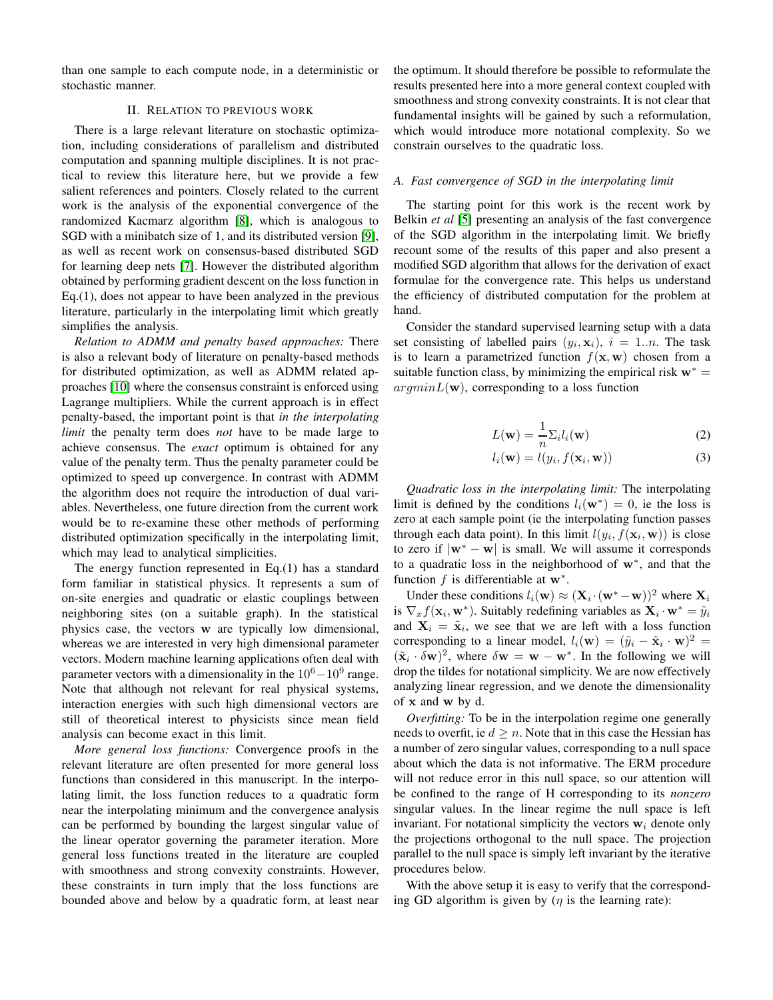than one sample to each compute node, in a deterministic or stochastic manner.

## II. RELATION TO PREVIOUS WORK

There is a large relevant literature on stochastic optimization, including considerations of parallelism and distributed computation and spanning multiple disciplines. It is not practical to review this literature here, but we provide a few salient references and pointers. Closely related to the current work is the analysis of the exponential convergence of the randomized Kacmarz algorithm [\[8\]](#page-4-7), which is analogous to SGD with a minibatch size of 1, and its distributed version [\[9\]](#page-4-8), as well as recent work on consensus-based distributed SGD for learning deep nets [\[7\]](#page-4-6). However the distributed algorithm obtained by performing gradient descent on the loss function in Eq.(1), does not appear to have been analyzed in the previous literature, particularly in the interpolating limit which greatly simplifies the analysis.

*Relation to ADMM and penalty based approaches:* There is also a relevant body of literature on penalty-based methods for distributed optimization, as well as ADMM related approaches [\[10\]](#page-4-9) where the consensus constraint is enforced using Lagrange multipliers. While the current approach is in effect penalty-based, the important point is that *in the interpolating limit* the penalty term does *not* have to be made large to achieve consensus. The *exact* optimum is obtained for any value of the penalty term. Thus the penalty parameter could be optimized to speed up convergence. In contrast with ADMM the algorithm does not require the introduction of dual variables. Nevertheless, one future direction from the current work would be to re-examine these other methods of performing distributed optimization specifically in the interpolating limit, which may lead to analytical simplicities.

The energy function represented in Eq.(1) has a standard form familiar in statistical physics. It represents a sum of on-site energies and quadratic or elastic couplings between neighboring sites (on a suitable graph). In the statistical physics case, the vectors w are typically low dimensional, whereas we are interested in very high dimensional parameter vectors. Modern machine learning applications often deal with parameter vectors with a dimensionality in the  $10^6 - 10^9$  range. Note that although not relevant for real physical systems, interaction energies with such high dimensional vectors are still of theoretical interest to physicists since mean field analysis can become exact in this limit.

*More general loss functions:* Convergence proofs in the relevant literature are often presented for more general loss functions than considered in this manuscript. In the interpolating limit, the loss function reduces to a quadratic form near the interpolating minimum and the convergence analysis can be performed by bounding the largest singular value of the linear operator governing the parameter iteration. More general loss functions treated in the literature are coupled with smoothness and strong convexity constraints. However, these constraints in turn imply that the loss functions are bounded above and below by a quadratic form, at least near the optimum. It should therefore be possible to reformulate the results presented here into a more general context coupled with smoothness and strong convexity constraints. It is not clear that fundamental insights will be gained by such a reformulation, which would introduce more notational complexity. So we constrain ourselves to the quadratic loss.

## *A. Fast convergence of SGD in the interpolating limit*

The starting point for this work is the recent work by Belkin *et al* [\[5\]](#page-4-4) presenting an analysis of the fast convergence of the SGD algorithm in the interpolating limit. We briefly recount some of the results of this paper and also present a modified SGD algorithm that allows for the derivation of exact formulae for the convergence rate. This helps us understand the efficiency of distributed computation for the problem at hand.

Consider the standard supervised learning setup with a data set consisting of labelled pairs  $(y_i, \mathbf{x}_i)$ ,  $i = 1..n$ . The task is to learn a parametrized function  $f(\mathbf{x}, \mathbf{w})$  chosen from a suitable function class, by minimizing the empirical risk  $w^* =$  $argmin L(\mathbf{w})$ , corresponding to a loss function

$$
L(\mathbf{w}) = \frac{1}{n} \Sigma_i l_i(\mathbf{w})
$$
 (2)

$$
l_i(\mathbf{w}) = l(y_i, f(\mathbf{x}_i, \mathbf{w}))
$$
\n(3)

*Quadratic loss in the interpolating limit:* The interpolating limit is defined by the conditions  $l_i(\mathbf{w}^*) = 0$ , ie the loss is zero at each sample point (ie the interpolating function passes through each data point). In this limit  $l(y_i, f(\mathbf{x}_i, \mathbf{w}))$  is close to zero if  $|\mathbf{w}^* - \mathbf{w}|$  is small. We will assume it corresponds to a quadratic loss in the neighborhood of w<sup>∗</sup> , and that the function  $f$  is differentiable at  $w^*$ .

Under these conditions  $l_i(\mathbf{w}) \approx (\mathbf{X}_i \cdot (\mathbf{w}^* - \mathbf{w}))^2$  where  $\mathbf{X}_i$ is  $\nabla_x f(\mathbf{x}_i, \mathbf{w}^*)$ . Suitably redefining variables as  $\mathbf{X}_i \cdot \mathbf{w}^* = \tilde{y}_i$ and  $X_i = \tilde{x}_i$ , we see that we are left with a loss function corresponding to a linear model,  $l_i(\mathbf{w}) = (\tilde{y}_i - \tilde{\mathbf{x}}_i \cdot \mathbf{w})^2 =$  $(\tilde{\mathbf{x}}_i \cdot \delta \mathbf{w})^2$ , where  $\delta \mathbf{w} = \mathbf{w} - \mathbf{w}^*$ . In the following we will drop the tildes for notational simplicity. We are now effectively analyzing linear regression, and we denote the dimensionality of x and w by d.

*Overfitting:* To be in the interpolation regime one generally needs to overfit, ie  $d \geq n$ . Note that in this case the Hessian has a number of zero singular values, corresponding to a null space about which the data is not informative. The ERM procedure will not reduce error in this null space, so our attention will be confined to the range of H corresponding to its *nonzero* singular values. In the linear regime the null space is left invariant. For notational simplicity the vectors  $w_i$  denote only the projections orthogonal to the null space. The projection parallel to the null space is simply left invariant by the iterative procedures below.

With the above setup it is easy to verify that the corresponding GD algorithm is given by  $(\eta)$  is the learning rate):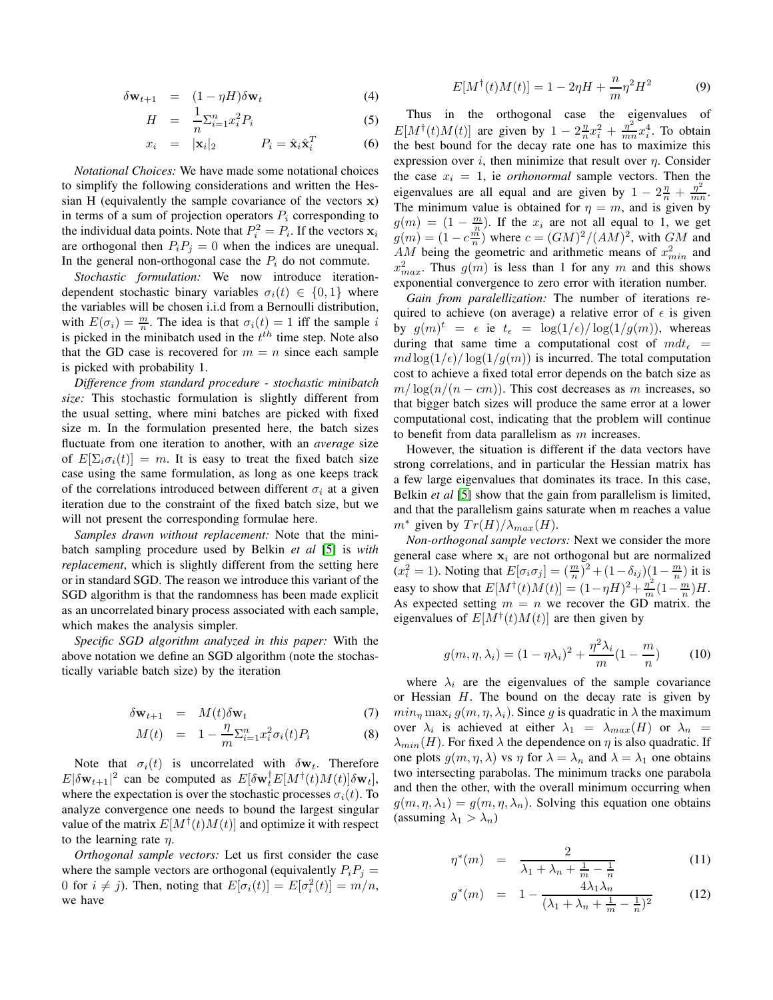$$
\delta \mathbf{w}_{t+1} = (1 - \eta H) \delta \mathbf{w}_t \tag{4}
$$

$$
H = \frac{1}{n} \sum_{i=1}^{n} x_i^2 P_i \tag{5}
$$

$$
x_i = |\mathbf{x}_i|_2 \qquad P_i = \hat{\mathbf{x}}_i \hat{\mathbf{x}}_i^T \qquad (6)
$$

*Notational Choices:* We have made some notational choices to simplify the following considerations and written the Hessian H (equivalently the sample covariance of the vectors  $x$ ) in terms of a sum of projection operators  $P_i$  corresponding to the individual data points. Note that  $P_i^2 = P_i$ . If the vectors  $\mathbf{x}_i$ are orthogonal then  $P_iP_j = 0$  when the indices are unequal. In the general non-orthogonal case the  $P_i$  do not commute.

*Stochastic formulation:* We now introduce iterationdependent stochastic binary variables  $\sigma_i(t) \in \{0,1\}$  where the variables will be chosen i.i.d from a Bernoulli distribution, with  $E(\sigma_i) = \frac{m}{n}$ . The idea is that  $\sigma_i(t) = 1$  iff the sample i is picked in the minibatch used in the  $t^{th}$  time step. Note also that the GD case is recovered for  $m = n$  since each sample is picked with probability 1.

*Difference from standard procedure - stochastic minibatch size:* This stochastic formulation is slightly different from the usual setting, where mini batches are picked with fixed size m. In the formulation presented here, the batch sizes fluctuate from one iteration to another, with an *average* size of  $E[\Sigma_i \sigma_i(t)] = m$ . It is easy to treat the fixed batch size case using the same formulation, as long as one keeps track of the correlations introduced between different  $\sigma_i$  at a given iteration due to the constraint of the fixed batch size, but we will not present the corresponding formulae here.

*Samples drawn without replacement:* Note that the minibatch sampling procedure used by Belkin *et al* [\[5\]](#page-4-4) is *with replacement*, which is slightly different from the setting here or in standard SGD. The reason we introduce this variant of the SGD algorithm is that the randomness has been made explicit as an uncorrelated binary process associated with each sample, which makes the analysis simpler.

*Specific SGD algorithm analyzed in this paper:* With the above notation we define an SGD algorithm (note the stochastically variable batch size) by the iteration

$$
\delta \mathbf{w}_{t+1} = M(t) \delta \mathbf{w}_t \tag{7}
$$

$$
M(t) = 1 - \frac{\eta}{m} \sum_{i=1}^{n} x_i^2 \sigma_i(t) P_i \tag{8}
$$

Note that  $\sigma_i(t)$  is uncorrelated with  $\delta \mathbf{w}_t$ . Therefore  $E|\delta \mathbf{w}_{t+1}|^2$  can be computed as  $E[\delta \mathbf{w}_t^{\dagger} E[M^{\dagger}(t)M(t)]\delta \mathbf{w}_t],$ where the expectation is over the stochastic processes  $\sigma_i(t)$ . To analyze convergence one needs to bound the largest singular value of the matrix  $E[M^{\dagger}(t)M(t)]$  and optimize it with respect to the learning rate  $\eta$ .

*Orthogonal sample vectors:* Let us first consider the case where the sample vectors are orthogonal (equivalently  $P_iP_j =$ 0 for  $i \neq j$ ). Then, noting that  $E[\sigma_i(t)] = E[\sigma_i^2(t)] = m/n$ , we have

$$
E[M^{\dagger}(t)M(t)] = 1 - 2\eta H + \frac{n}{m}\eta^2 H^2
$$
 (9)

Thus in the orthogonal case the eigenvalues of  $E[M^{\dagger}(t)M(t)]$  are given by  $1 - 2\frac{\eta}{n}x_i^2 + \frac{\eta^2}{mn}$  $\frac{\eta^2}{mn}x_i^4$ . To obtain the best bound for the decay rate one has to maximize this expression over i, then minimize that result over  $\eta$ . Consider the case  $x_i = 1$ , ie *orthonormal* sample vectors. Then the eigenvalues are all equal and are given by  $1 - 2\frac{\eta}{n} + \frac{\eta^2}{mn}$  $\frac{\eta^-}{mn}$ . The minimum value is obtained for  $\eta = m$ , and is given by  $g(m) = (1 - \frac{m}{n})$ . If the  $x_i$  are not all equal to 1, we get  $g(m) = (1 - c\frac{m}{n})$  where  $c = (GM)^2/(AM)^2$ , with  $GM$  and AM being the geometric and arithmetic means of  $x_{min}^2$  and  $x_{max}^2$ . Thus  $g(m)$  is less than 1 for any m and this shows exponential convergence to zero error with iteration number.

*Gain from paralellization:* The number of iterations required to achieve (on average) a relative error of  $\epsilon$  is given by  $g(m)^t = \epsilon$  ie  $t_{\epsilon} = \log(1/\epsilon)/\log(1/g(m))$ , whereas during that same time a computational cost of  $m dt_{\epsilon}$  =  $md \log(1/\epsilon)/\log(1/g(m))$  is incurred. The total computation cost to achieve a fixed total error depends on the batch size as  $m/\log(n/(n-cm))$ . This cost decreases as m increases, so that bigger batch sizes will produce the same error at a lower computational cost, indicating that the problem will continue to benefit from data parallelism as  $m$  increases.

However, the situation is different if the data vectors have strong correlations, and in particular the Hessian matrix has a few large eigenvalues that dominates its trace. In this case, Belkin *et al* [\[5\]](#page-4-4) show that the gain from parallelism is limited, and that the parallelism gains saturate when m reaches a value  $m^*$  given by  $Tr(H)/\lambda_{max}(H)$ .

*Non-orthogonal sample vectors:* Next we consider the more general case where  $x_i$  are not orthogonal but are normalized  $(x_i^2 = 1)$ . Noting that  $E[\sigma_i \sigma_j] = (\frac{m}{n})^2 + (1 - \delta_{ij})(1 - \frac{m}{n})$  it is easy to show that  $E[M^{\dagger}(t)M(t)] = (1 - \eta H)^2 + \frac{\eta^2}{m}(1 - \frac{m}{n})H$ . As expected setting  $m = n$  we recover the GD matrix. the eigenvalues of  $E[M^{\dagger}(t)M(t)]$  are then given by

$$
g(m, \eta, \lambda_i) = (1 - \eta \lambda_i)^2 + \frac{\eta^2 \lambda_i}{m} (1 - \frac{m}{n}) \tag{10}
$$

where  $\lambda_i$  are the eigenvalues of the sample covariance or Hessian  $H$ . The bound on the decay rate is given by  $min_n max_i g(m, \eta, \lambda_i)$ . Since g is quadratic in  $\lambda$  the maximum over  $\lambda_i$  is achieved at either  $\lambda_1 = \lambda_{max}(H)$  or  $\lambda_n =$  $\lambda_{min}(H)$ . For fixed  $\lambda$  the dependence on  $\eta$  is also quadratic. If one plots  $g(m, \eta, \lambda)$  vs  $\eta$  for  $\lambda = \lambda_n$  and  $\lambda = \lambda_1$  one obtains two intersecting parabolas. The minimum tracks one parabola and then the other, with the overall minimum occurring when  $g(m, \eta, \lambda_1) = g(m, \eta, \lambda_n)$ . Solving this equation one obtains (assuming  $\lambda_1 > \lambda_n$ )

$$
\eta^*(m) = \frac{2}{\lambda_1 + \lambda_n + \frac{1}{m} - \frac{1}{n}} \tag{11}
$$

$$
g^*(m) = 1 - \frac{4\lambda_1\lambda_n}{(\lambda_1 + \lambda_n + \frac{1}{m} - \frac{1}{n})^2}
$$
 (12)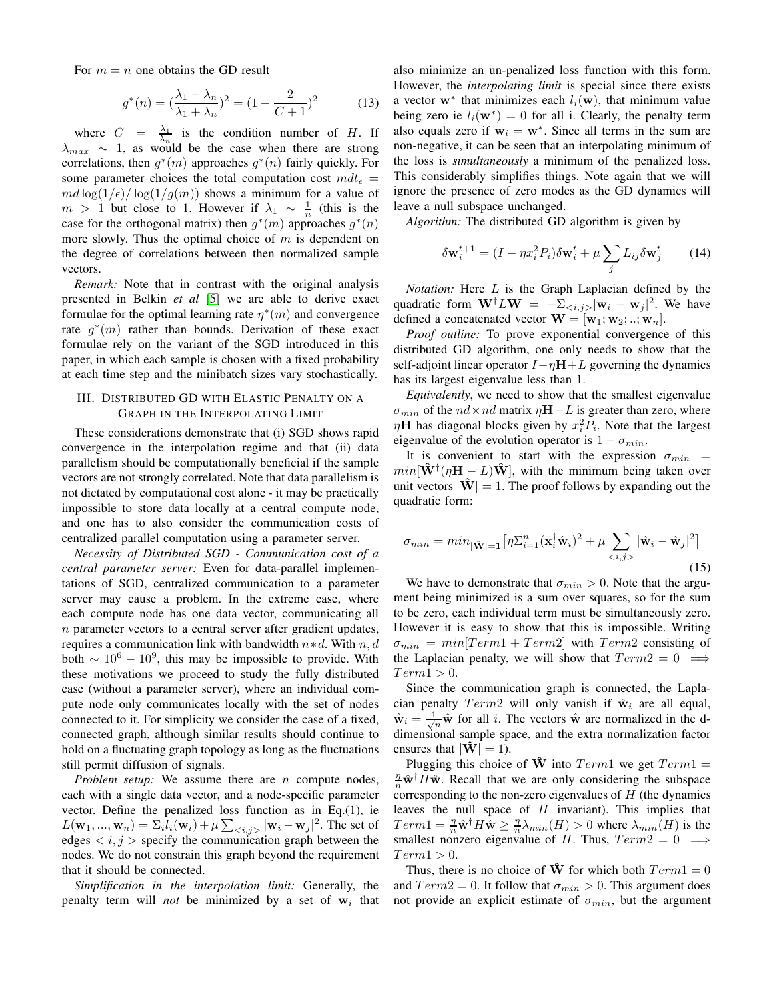For  $m = n$  one obtains the GD result

$$
g^*(n) = \left(\frac{\lambda_1 - \lambda_n}{\lambda_1 + \lambda_n}\right)^2 = \left(1 - \frac{2}{C + 1}\right)^2\tag{13}
$$

where  $C = \frac{\lambda_1}{\lambda_n}$  is the condition number of H. If  $\lambda_{max} \sim 1$ , as would be the case when there are strong correlations, then  $g^*(m)$  approaches  $g^*(n)$  fairly quickly. For some parameter choices the total computation cost  $m dt_{\epsilon}$  =  $md \log(1/\epsilon)/\log(1/g(m))$  shows a minimum for a value of  $m > 1$  but close to 1. However if  $\lambda_1 \sim \frac{1}{n}$  (this is the case for the orthogonal matrix) then  $g^*(m)$  approaches  $g^*(n)$ more slowly. Thus the optimal choice of  $m$  is dependent on the degree of correlations between then normalized sample vectors.

*Remark:* Note that in contrast with the original analysis presented in Belkin *et al* [\[5\]](#page-4-4) we are able to derive exact formulae for the optimal learning rate  $\eta^*(m)$  and convergence rate  $g^*(m)$  rather than bounds. Derivation of these exact formulae rely on the variant of the SGD introduced in this paper, in which each sample is chosen with a fixed probability at each time step and the minibatch sizes vary stochastically.

# III. DISTRIBUTED GD WITH ELASTIC PENALTY ON A GRAPH IN THE INTERPOLATING LIMIT

These considerations demonstrate that (i) SGD shows rapid convergence in the interpolation regime and that (ii) data parallelism should be computationally beneficial if the sample vectors are not strongly correlated. Note that data parallelism is not dictated by computational cost alone - it may be practically impossible to store data locally at a central compute node, and one has to also consider the communication costs of centralized parallel computation using a parameter server.

*Necessity of Distributed SGD - Communication cost of a central parameter server:* Even for data-parallel implementations of SGD, centralized communication to a parameter server may cause a problem. In the extreme case, where each compute node has one data vector, communicating all  $n$  parameter vectors to a central server after gradient updates, requires a communication link with bandwidth  $n * d$ . With  $n, d$ both  $\sim 10^6 - 10^9$ , this may be impossible to provide. With these motivations we proceed to study the fully distributed case (without a parameter server), where an individual compute node only communicates locally with the set of nodes connected to it. For simplicity we consider the case of a fixed, connected graph, although similar results should continue to hold on a fluctuating graph topology as long as the fluctuations still permit diffusion of signals.

*Problem setup:* We assume there are *n* compute nodes, each with a single data vector, and a node-specific parameter vector. Define the penalized loss function as in Eq.(1), ie  $L(\mathbf{w}_1, ..., \mathbf{w}_n) = \sum_i \tilde{l}_i(\mathbf{w}_i) + \mu \sum_{\langle i,j \rangle} |\mathbf{w}_i - \mathbf{w}_j|^2$ . The set of edges  $\langle i, j \rangle$  specify the communication graph between the nodes. We do not constrain this graph beyond the requirement that it should be connected.

*Simplification in the interpolation limit:* Generally, the penalty term will *not* be minimized by a set of  $w_i$  that

also minimize an un-penalized loss function with this form. However, the *interpolating limit* is special since there exists a vector  $w^*$  that minimizes each  $l_i(\mathbf{w})$ , that minimum value being zero ie  $l_i(\mathbf{w}^*) = 0$  for all i. Clearly, the penalty term also equals zero if  $w_i = w^*$ . Since all terms in the sum are non-negative, it can be seen that an interpolating minimum of the loss is *simultaneously* a minimum of the penalized loss. This considerably simplifies things. Note again that we will ignore the presence of zero modes as the GD dynamics will leave a null subspace unchanged.

*Algorithm:* The distributed GD algorithm is given by

<span id="page-3-0"></span>
$$
\delta \mathbf{w}_{i}^{t+1} = (I - \eta x_{i}^{2} P_{i}) \delta \mathbf{w}_{i}^{t} + \mu \sum_{j} L_{ij} \delta \mathbf{w}_{j}^{t}
$$
 (14)

*Notation:* Here L is the Graph Laplacian defined by the quadratic form  $\mathbf{W}^{\dagger}L\mathbf{W} = -\sum_{i,j} |\mathbf{w}_i - \mathbf{w}_j|^2$ . We have defined a concatenated vector  $\mathbf{W} = [\mathbf{w}_1; \mathbf{w}_2; \dots; \mathbf{w}_n].$ 

*Proof outline:* To prove exponential convergence of this distributed GD algorithm, one only needs to show that the self-adjoint linear operator  $I - \eta H + L$  governing the dynamics has its largest eigenvalue less than 1.

*Equivalently*, we need to show that the smallest eigenvalue  $\sigma_{min}$  of the  $nd \times nd$  matrix  $\eta H - L$  is greater than zero, where  $\eta$ **H** has diagonal blocks given by  $x_i^2 P_i$ . Note that the largest eigenvalue of the evolution operator is  $1 - \sigma_{min}$ .

It is convenient to start with the expression  $\sigma_{min}$  =  $min[\hat{\mathbf{W}}^{\dagger}(\eta\mathbf{H}-L)\hat{\mathbf{W}}]$ , with the minimum being taken over unit vectors  $|\hat{\mathbf{W}}| = 1$ . The proof follows by expanding out the quadratic form:

$$
\sigma_{min} = min_{|\hat{\mathbf{W}}|=1} \left[ \eta \Sigma_{i=1}^n (\mathbf{x}_i^\dagger \hat{\mathbf{w}}_i)^2 + \mu \sum_{\langle i,j \rangle} |\hat{\mathbf{w}}_i - \hat{\mathbf{w}}_j|^2 \right]
$$
(15)

We have to demonstrate that  $\sigma_{min} > 0$ . Note that the argument being minimized is a sum over squares, so for the sum to be zero, each individual term must be simultaneously zero. However it is easy to show that this is impossible. Writing  $\sigma_{min} = min[Term1 + Term2]$  with  $Term2$  consisting of the Laplacian penalty, we will show that  $Term2 = 0 \implies$  $Term1 > 0.$ 

Since the communication graph is connected, the Laplacian penalty  $Term2$  will only vanish if  $\hat{w}_i$  are all equal,  $\hat{\mathbf{w}}_i = \frac{1}{\sqrt{n}} \hat{\mathbf{w}}$  for all i. The vectors  $\hat{\mathbf{w}}$  are normalized in the ddimensional sample space, and the extra normalization factor ensures that  $|\hat{\mathbf{W}}| = 1$ .

Plugging this choice of  $\hat{W}$  into  $Term1$  we get  $Term1 =$  $\frac{\eta}{n} \hat{\mathbf{w}}^{\dagger} H \hat{\mathbf{w}}$ . Recall that we are only considering the subspace corresponding to the non-zero eigenvalues of  $H$  (the dynamics leaves the null space of  $H$  invariant). This implies that  $Term1 = \frac{n}{n}\hat{\mathbf{w}}^{\dagger}H\hat{\mathbf{w}} \geq \frac{n}{n}\lambda_{min}(H) > 0$  where  $\lambda_{min}(H)$  is the smallest nonzero eigenvalue of H. Thus,  $Term2 = 0 \implies$  $Term1 > 0.$ 

Thus, there is no choice of  $\hat{W}$  for which both  $Term1 = 0$ and  $Term2 = 0$ . It follow that  $\sigma_{min} > 0$ . This argument does not provide an explicit estimate of  $\sigma_{min}$ , but the argument